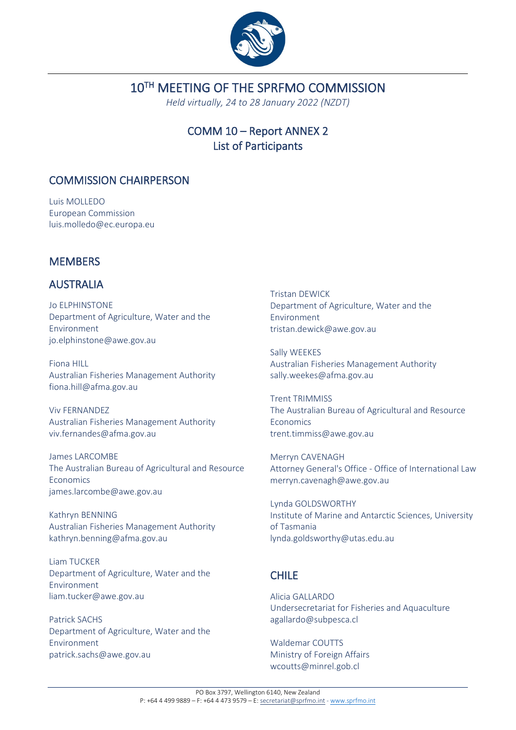

# 10TH MEETING OF THE SPRFMO COMMISSION

*Held virtually, 24 to 28 January 2022 (NZDT)*

# COMM 10 – Report ANNEX 2 List of Participants

## COMMISSION CHAIRPERSON

Luis MOLLEDO European Commission luis.molledo@ec.europa.eu

# **MEMBERS**

## AUSTRALIA

Jo ELPHINSTONE Department of Agriculture, Water and the Environment jo.elphinstone@awe.gov.au

Fiona HILL Australian Fisheries Management Authority fiona.hill@afma.gov.au

Viv FERNANDEZ Australian Fisheries Management Authority viv.fernandes@afma.gov.au

James LARCOMBE The Australian Bureau of Agricultural and Resource Economics james.larcombe@awe.gov.au

Kathryn BENNING Australian Fisheries Management Authority kathryn.benning@afma.gov.au

Liam TUCKER Department of Agriculture, Water and the Environment liam.tucker@awe.gov.au

Patrick SACHS Department of Agriculture, Water and the Environment patrick.sachs@awe.gov.au

Tristan DEWICK Department of Agriculture, Water and the Environment tristan.dewick@awe.gov.au

Sally WEEKES Australian Fisheries Management Authority sally.weekes@afma.gov.au

Trent TRIMMISS The Australian Bureau of Agricultural and Resource Economics trent.timmiss@awe.gov.au

Merryn CAVENAGH Attorney General's Office - Office of International Law merryn.cavenagh@awe.gov.au

Lynda GOLDSWORTHY Institute of Marine and Antarctic Sciences, University of Tasmania lynda.goldsworthy@utas.edu.au

# CHILE

Alicia GALLARDO Undersecretariat for Fisheries and Aquaculture agallardo@subpesca.cl

Waldemar COUTTS Ministry of Foreign Affairs wcoutts@minrel.gob.cl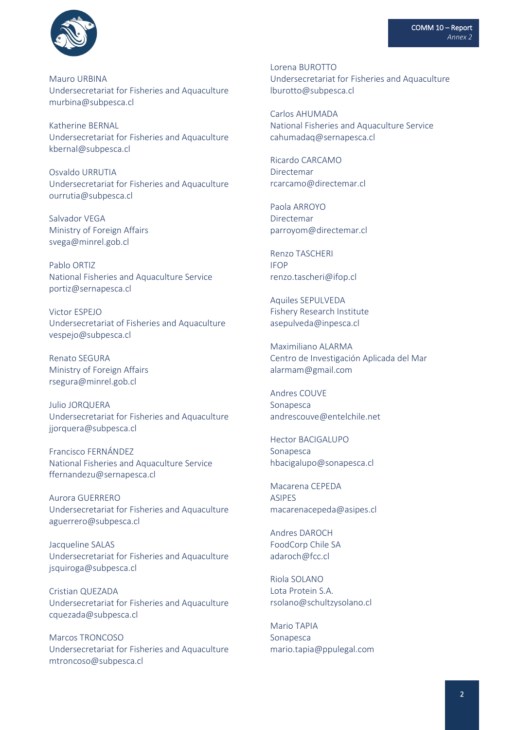

Mauro URBINA Undersecretariat for Fisheries and Aquaculture murbina@subpesca.cl

Katherine BERNAL Undersecretariat for Fisheries and Aquaculture kbernal@subpesca.cl

Osvaldo URRUTIA Undersecretariat for Fisheries and Aquaculture ourrutia@subpesca.cl

Salvador VEGA Ministry of Foreign Affairs svega@minrel.gob.cl

Pablo ORTIZ National Fisheries and Aquaculture Service portiz@sernapesca.cl

Victor ESPEJO Undersecretariat of Fisheries and Aquaculture vespejo@subpesca.cl

Renato SEGURA Ministry of Foreign Affairs rsegura@minrel.gob.cl

Julio JORQUERA Undersecretariat for Fisheries and Aquaculture jjorquera@subpesca.cl

Francisco FERNÁNDEZ National Fisheries and Aquaculture Service ffernandezu@sernapesca.cl

Aurora GUERRERO Undersecretariat for Fisheries and Aquaculture aguerrero@subpesca.cl

Jacqueline SALAS Undersecretariat for Fisheries and Aquaculture jsquiroga@subpesca.cl

Cristian QUEZADA Undersecretariat for Fisheries and Aquaculture cquezada@subpesca.cl

Marcos TRONCOSO Undersecretariat for Fisheries and Aquaculture mtroncoso@subpesca.cl

Lorena BUROTTO Undersecretariat for Fisheries and Aquaculture lburotto@subpesca.cl

Carlos AHUMADA National Fisheries and Aquaculture Service cahumadaq@sernapesca.cl

Ricardo CARCAMO Directemar rcarcamo@directemar.cl

Paola ARROYO Directemar parroyom@directemar.cl

Renzo TASCHERI IFOP renzo.tascheri@ifop.cl

Aquiles SEPULVEDA Fishery Research Institute asepulveda@inpesca.cl

Maximiliano ALARMA Centro de Investigación Aplicada del Mar alarmam@gmail.com

Andres COUVE Sonapesca andrescouve@entelchile.net

Hector BACIGALUPO Sonapesca hbacigalupo@sonapesca.cl

Macarena CEPEDA ASIPES macarenacepeda@asipes.cl

Andres DAROCH FoodCorp Chile SA adaroch@fcc.cl

Riola SOLANO Lota Protein S.A. rsolano@schultzysolano.cl

Mario TAPIA Sonapesca mario.tapia@ppulegal.com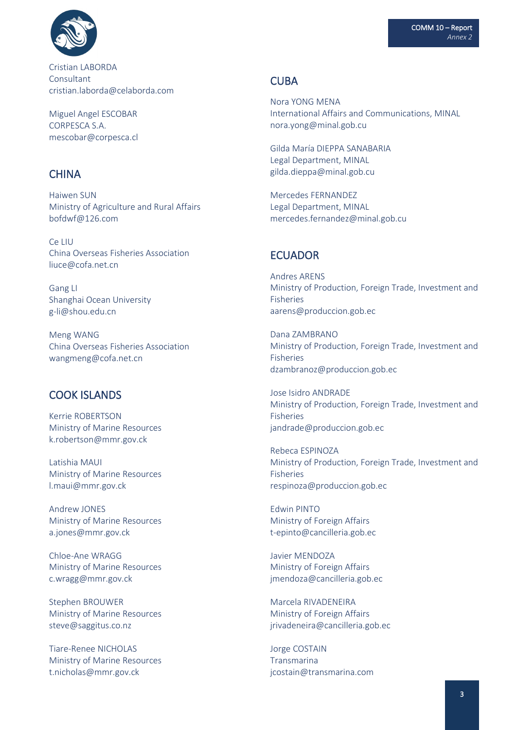

Cristian LABORDA **Consultant** cristian.laborda@celaborda.com

Miguel Angel ESCOBAR CORPESCA S.A. mescobar@corpesca.cl

### **CHINA**

Haiwen SUN Ministry of Agriculture and Rural Affairs bofdwf@126.com

Ce LIU China Overseas Fisheries Association liuce@cofa.net.cn

Gang LI Shanghai Ocean University g-li@shou.edu.cn

Meng WANG China Overseas Fisheries Association wangmeng@cofa.net.cn

## COOK ISLANDS

Kerrie ROBERTSON Ministry of Marine Resources k.robertson@mmr.gov.ck

Latishia MAUI Ministry of Marine Resources l.maui@mmr.gov.ck

Andrew JONES Ministry of Marine Resources a.jones@mmr.gov.ck

Chloe-Ane WRAGG Ministry of Marine Resources c.wragg@mmr.gov.ck

Stephen BROUWER Ministry of Marine Resources steve@saggitus.co.nz

Tiare-Renee NICHOLAS Ministry of Marine Resources t.nicholas@mmr.gov.ck

#### **CURA**

Nora YONG MENA International Affairs and Communications, MINAL nora.yong@minal.gob.cu

Gilda María DIEPPA SANABARIA Legal Department, MINAL gilda.dieppa@minal.gob.cu

Mercedes FERNANDEZ Legal Department, MINAL mercedes.fernandez@minal.gob.cu

#### **ECUADOR**

Andres ARENS Ministry of Production, Foreign Trade, Investment and Fisheries aarens@produccion.gob.ec

Dana ZAMBRANO Ministry of Production, Foreign Trade, Investment and Fisheries dzambranoz@produccion.gob.ec

Jose Isidro ANDRADE Ministry of Production, Foreign Trade, Investment and Fisheries jandrade@produccion.gob.ec

Rebeca ESPINOZA Ministry of Production, Foreign Trade, Investment and Fisheries respinoza@produccion.gob.ec

Edwin PINTO Ministry of Foreign Affairs t-epinto@cancilleria.gob.ec

Javier MENDOZA Ministry of Foreign Affairs jmendoza@cancilleria.gob.ec

Marcela RIVADENEIRA Ministry of Foreign Affairs jrivadeneira@cancilleria.gob.ec

Jorge COSTAIN Transmarina jcostain@transmarina.com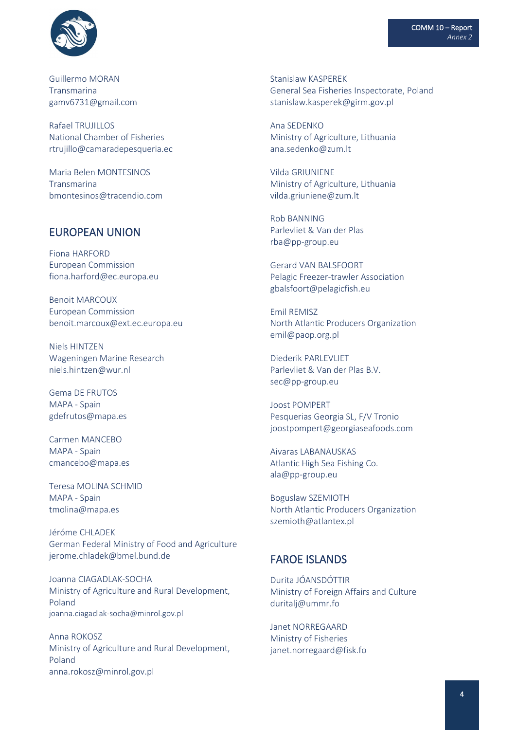

Guillermo MORAN Transmarina gamv6731@gmail.com

Rafael TRUJILLOS National Chamber of Fisheries rtrujillo@camaradepesqueria.ec

Maria Belen MONTESINOS **Transmarina** bmontesinos@tracendio.com

## EUROPEAN UNION

Fiona HARFORD European Commission fiona.harford@ec.europa.eu

Benoit MARCOUX European Commission benoit.marcoux@ext.ec.europa.eu

Niels HINTZEN Wageningen Marine Research niels.hintzen@wur.nl

Gema DE FRUTOS MAPA - Spain gdefrutos@mapa.es

Carmen MANCEBO MAPA - Spain cmancebo@mapa.es

Teresa MOLINA SCHMID MAPA - Spain tmolina@mapa.es

Jéróme CHLADEK German Federal Ministry of Food and Agriculture jerome.chladek@bmel.bund.de

Joanna CIAGADLAK-SOCHA Ministry of Agriculture and Rural Development, Poland joanna.ciagadlak-socha@minrol.gov.pl

Anna ROKOSZ Ministry of Agriculture and Rural Development, Poland anna.rokosz@minrol.gov.pl

Stanislaw KASPEREK General Sea Fisheries Inspectorate, Poland stanislaw.kasperek@girm.gov.pl

Ana SEDENKO Ministry of Agriculture, Lithuania ana.sedenko@zum.lt

Vilda GRIUNIENE Ministry of Agriculture, Lithuania vilda.griuniene@zum.lt

Rob BANNING Parlevliet & Van der Plas rba@pp-group.eu

Gerard VAN BALSFOORT Pelagic Freezer-trawler Association gbalsfoort@pelagicfish.eu

Emil REMISZ North Atlantic Producers Organization emil@paop.org.pl

Diederik PARLEVLIET Parlevliet & Van der Plas B.V. sec@pp-group.eu

Joost POMPERT Pesquerias Georgia SL, F/V Tronio joostpompert@georgiaseafoods.com

Aivaras LABANAUSKAS Atlantic High Sea Fishing Co. ala@pp-group.eu

Boguslaw SZEMIOTH North Atlantic Producers Organization szemioth@atlantex.pl

#### FAROE ISLANDS

Durita JÓANSDÓTTIR Ministry of Foreign Affairs and Culture duritalj@ummr.fo

Janet NORREGAARD Ministry of Fisheries janet.norregaard@fisk.fo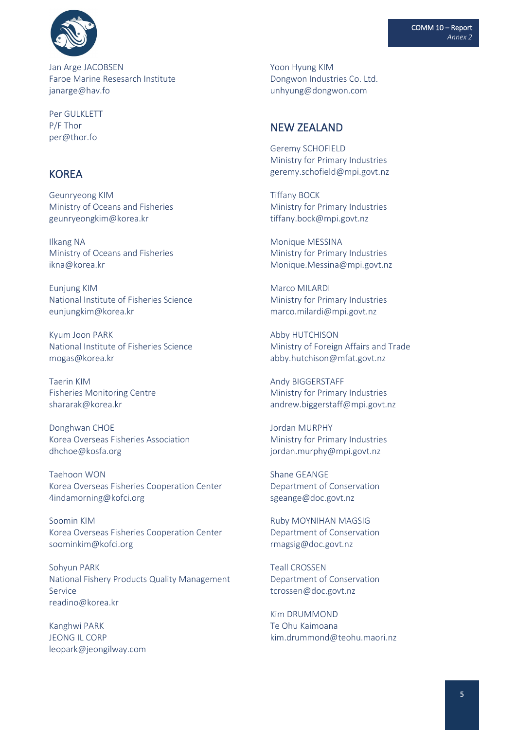

Jan Arge JACOBSEN Faroe Marine Resesarch Institute janarge@hav.fo

Per GULKLETT P/F Thor per@thor.fo

### **KOREA**

Geunryeong KIM Ministry of Oceans and Fisheries geunryeongkim@korea.kr

Ilkang NA Ministry of Oceans and Fisheries ikna@korea.kr

Eunjung KIM National Institute of Fisheries Science eunjungkim@korea.kr

Kyum Joon PARK National Institute of Fisheries Science mogas@korea.kr

Taerin KIM Fisheries Monitoring Centre shararak@korea.kr

Donghwan CHOE Korea Overseas Fisheries Association dhchoe@kosfa.org

Taehoon WON Korea Overseas Fisheries Cooperation Center 4indamorning@kofci.org

Soomin KIM Korea Overseas Fisheries Cooperation Center soominkim@kofci.org

Sohyun PARK National Fishery Products Quality Management Service readino@korea.kr

Kanghwi PARK JEONG IL CORP leopark@jeongilway.com Yoon Hyung KIM Dongwon Industries Co. Ltd. unhyung@dongwon.com

#### NEW ZEALAND

Geremy SCHOFIELD Ministry for Primary Industries geremy.schofield@mpi.govt.nz

Tiffany BOCK Ministry for Primary Industries tiffany.bock@mpi.govt.nz

Monique MESSINA Ministry for Primary Industries Monique.Messina@mpi.govt.nz

Marco MILARDI Ministry for Primary Industries marco.milardi@mpi.govt.nz

Abby HUTCHISON Ministry of Foreign Affairs and Trade abby.hutchison@mfat.govt.nz

Andy BIGGERSTAFF Ministry for Primary Industries andrew.biggerstaff@mpi.govt.nz

Jordan MURPHY Ministry for Primary Industries jordan.murphy@mpi.govt.nz

Shane GEANGE Department of Conservation sgeange@doc.govt.nz

Ruby MOYNIHAN MAGSIG Department of Conservation rmagsig@doc.govt.nz

Teall CROSSEN Department of Conservation tcrossen@doc.govt.nz

Kim DRUMMOND Te Ohu Kaimoana kim.drummond@teohu.maori.nz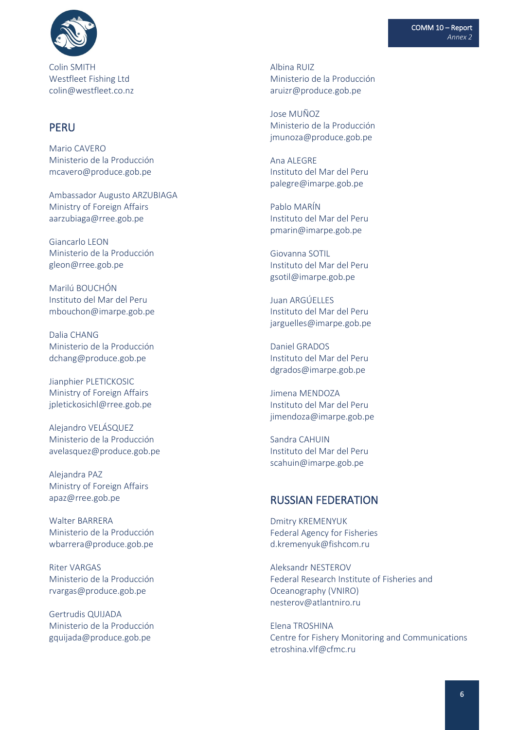

Colin SMITH Westfleet Fishing Ltd colin@westfleet.co.nz

### PERU

Mario CAVERO Ministerio de la Producción mcavero@produce.gob.pe

Ambassador Augusto ARZUBIAGA Ministry of Foreign Affairs [aarzubiaga@rree.gob.pe](mailto:aarzubiaga@rree.gob.pe)

Giancarlo LEON Ministerio de la Producción gleon@rree.gob.pe

Marilú BOUCHÓN Instituto del Mar del Peru mbouchon@imarpe.gob.pe

Dalia CHANG Ministerio de la Producción dchang@produce.gob.pe

Jianphier PLETICKOSIC Ministry of Foreign Affairs jpletickosichl@rree.gob.pe

Alejandro VELÁSQUEZ Ministerio de la Producción avelasquez@produce.gob.pe

Alejandra PAZ Ministry of Foreign Affairs apaz@rree.gob.pe

Walter BARRERA Ministerio de la Producción wbarrera@produce.gob.pe

Riter VARGAS Ministerio de la Producción rvargas@produce.gob.pe

Gertrudis QUIJADA Ministerio de la Producción gquijada@produce.gob.pe

Albina RUIZ Ministerio de la Producción aruizr@produce.gob.pe

Jose MUÑOZ Ministerio de la Producción jmunoza@produce.gob.pe

Ana ALEGRE Instituto del Mar del Peru palegre@imarpe.gob.pe

Pablo MARÍN Instituto del Mar del Peru pmarin@imarpe.gob.pe

Giovanna SOTIL Instituto del Mar del Peru gsotil@imarpe.gob.pe

Juan ARGÚELLES Instituto del Mar del Peru jarguelles@imarpe.gob.pe

Daniel GRADOS Instituto del Mar del Peru dgrados@imarpe.gob.pe

Jimena MENDOZA Instituto del Mar del Peru jimendoza@imarpe.gob.pe

Sandra CAHUIN Instituto del Mar del Peru scahuin@imarpe.gob.pe

#### RUSSIAN FEDERATION

Dmitry KREMENYUK Federal Agency for Fisheries d.kremenyuk@fishcom.ru

Aleksandr NESTEROV Federal Research Institute of Fisheries and Oceanography (VNIRO) nesterov@atlantniro.ru

Elena TROSHINA Centre for Fishery Monitoring and Communications etroshina.vlf@cfmc.ru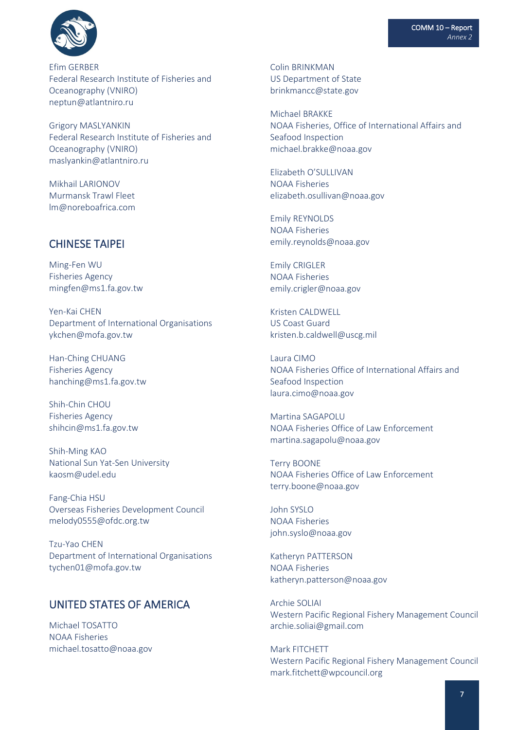

Efim GERBER Federal Research Institute of Fisheries and Oceanography (VNIRO) neptun@atlantniro.ru

Grigory MASLYANKIN Federal Research Institute of Fisheries and Oceanography (VNIRO) maslyankin@atlantniro.ru

Mikhail LARIONOV Murmansk Trawl Fleet lm@noreboafrica.com

### CHINESE TAIPEI

Ming-Fen WU Fisheries Agency mingfen@ms1.fa.gov.tw

Yen-Kai CHEN Department of International Organisations ykchen@mofa.gov.tw

Han-Ching CHUANG Fisheries Agency [hanching@ms1.fa.gov.tw](mailto:hanching@ms1.fa.gov.tw)

Shih-Chin CHOU Fisheries Agency shihcin@ms1.fa.gov.tw

Shih-Ming KAO National Sun Yat-Sen University kaosm@udel.edu

Fang-Chia HSU Overseas Fisheries Development Council melody0555@ofdc.org.tw

Tzu-Yao CHEN Department of International Organisations tychen01@mofa.gov.tw

### UNITED STATES OF AMERICA

Michael TOSATTO NOAA Fisheries michael.tosatto@noaa.gov Colin BRINKMAN US Department of State brinkmancc@state.gov

Michael BRAKKE NOAA Fisheries, Office of International Affairs and Seafood Inspection michael.brakke@noaa.gov

Elizabeth O'SULLIVAN NOAA Fisheries elizabeth.osullivan@noaa.gov

Emily REYNOLDS NOAA Fisheries emily.reynolds@noaa.gov

Emily CRIGLER NOAA Fisheries emily.crigler@noaa.gov

Kristen CALDWELL US Coast Guard kristen.b.caldwell@uscg.mil

Laura CIMO NOAA Fisheries Office of International Affairs and Seafood Inspection laura.cimo@noaa.gov

Martina SAGAPOLU NOAA Fisheries Office of Law Enforcement martina.sagapolu@noaa.gov

Terry BOONE NOAA Fisheries Office of Law Enforcement terry.boone@noaa.gov

John SYSLO NOAA Fisheries john.syslo@noaa.gov

Katheryn PATTERSON NOAA Fisheries katheryn.patterson@noaa.gov

Archie SOLIAI Western Pacific Regional Fishery Management Council archie.soliai@gmail.com

Mark FITCHETT Western Pacific Regional Fishery Management Council mark.fitchett@wpcouncil.org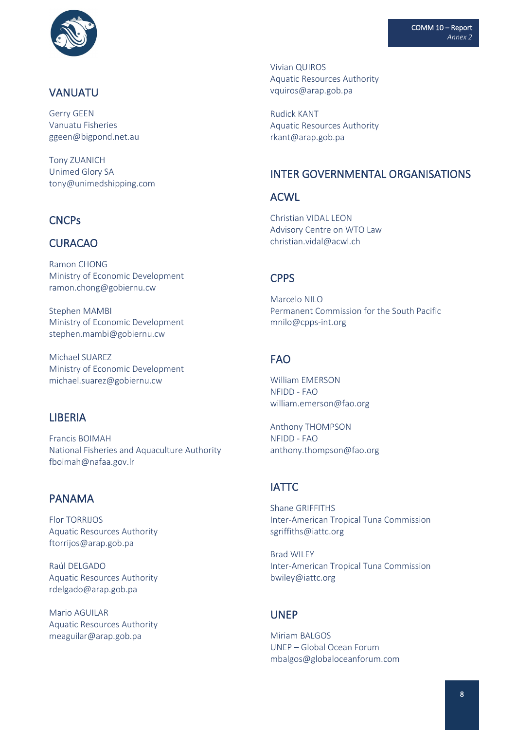

### VANUATU

Gerry GEEN Vanuatu Fisheries ggeen@bigpond.net.au

Tony ZUANICH Unimed Glory SA tony@unimedshipping.com

# **CNCPs**

### CURACAO

Ramon CHONG Ministry of Economic Development ramon.chong@gobiernu.cw

Stephen MAMBI Ministry of Economic Development stephen.mambi@gobiernu.cw

Michael SUAREZ Ministry of Economic Development michael.suarez@gobiernu.cw

#### LIBERIA

Francis BOIMAH National Fisheries and Aquaculture Authority fboimah@nafaa.gov.lr

### PANAMA

Flor TORRIJOS Aquatic Resources Authority ftorrijos@arap.gob.pa

Raúl DELGADO Aquatic Resources Authority rdelgado@arap.gob.pa

Mario AGUILAR Aquatic Resources Authority [meaguilar@arap.gob.pa](mailto:meaguilar@arap.gob.pa)

Vivian QUIROS Aquatic Resources Authority vquiros@arap.gob.pa

Rudick KANT Aquatic Resources Authority rkant@arap.gob.pa

#### INTER GOVERNMENTAL ORGANISATIONS

#### ACWL

Christian VIDAL LEON Advisory Centre on WTO Law christian.vidal@acwl.ch

#### **CPPS**

Marcelo NILO Permanent Commission for the South Pacific mnilo@cpps-int.org

# FAO

William EMERSON NFIDD - FAO william.emerson@fao.org

Anthony THOMPSON NFIDD - FAO anthony.thompson@fao.org

#### IATTC

Shane GRIFFITHS Inter-American Tropical Tuna Commission sgriffiths@iattc.org

Brad WILEY Inter-American Tropical Tuna Commission bwiley@iattc.org

#### UNEP

Miriam BALGOS UNEP – Global Ocean Forum mbalgos@globaloceanforum.com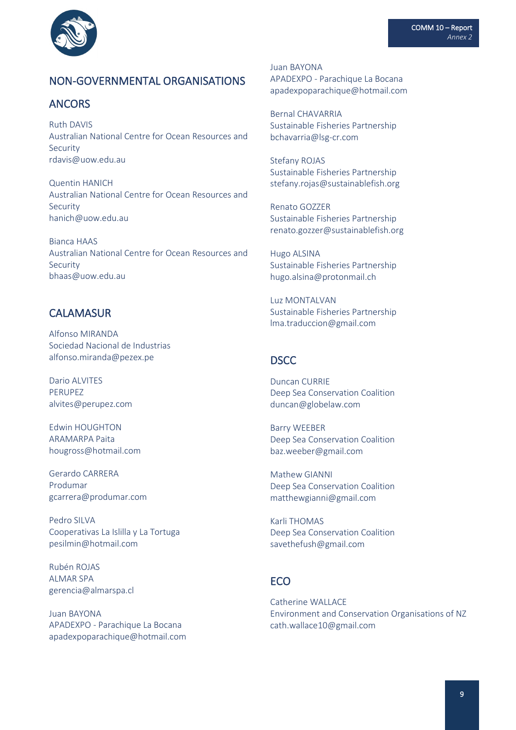

# NON-GOVERNMENTAL ORGANISATIONS

### ANCORS

Ruth DAVIS Australian National Centre for Ocean Resources and Security rdavis@uow.edu.au

Quentin HANICH Australian National Centre for Ocean Resources and Security hanich@uow.edu.au

Bianca HAAS Australian National Centre for Ocean Resources and Security bhaas@uow.edu.au

## **CALAMASUR**

Alfonso MIRANDA Sociedad Nacional de Industrias alfonso.miranda@pezex.pe

Dario ALVITES PERUPEZ alvites@perupez.com

Edwin HOUGHTON ARAMARPA Paita hougross@hotmail.com

Gerardo CARRERA Produmar gcarrera@produmar.com

Pedro SILVA Cooperativas La Islilla y La Tortuga pesilmin@hotmail.com

Rubén ROJAS ALMAR SPA gerencia@almarspa.cl

Juan BAYONA APADEXPO - Parachique La Bocana apadexpoparachique@hotmail.com Juan BAYONA APADEXPO - Parachique La Bocana apadexpoparachique@hotmail.com

Bernal CHAVARRIA Sustainable Fisheries Partnership bchavarria@lsg-cr.com

Stefany ROJAS Sustainable Fisheries Partnership stefany.rojas@sustainablefish.org

Renato GOZZER Sustainable Fisheries Partnership renato.gozzer@sustainablefish.org

Hugo ALSINA Sustainable Fisheries Partnership hugo.alsina@protonmail.ch

Luz MONTALVAN Sustainable Fisheries Partnership lma.traduccion@gmail.com

#### DSCC

Duncan CURRIE Deep Sea Conservation Coalition duncan@globelaw.com

Barry WEEBER Deep Sea Conservation Coalition baz.weeber@gmail.com

Mathew GIANNI Deep Sea Conservation Coalition matthewgianni@gmail.com

Karli THOMAS Deep Sea Conservation Coalition savethefush@gmail.com

## **FCO**

Catherine WALLACE Environment and Conservation Organisations of NZ cath.wallace10@gmail.com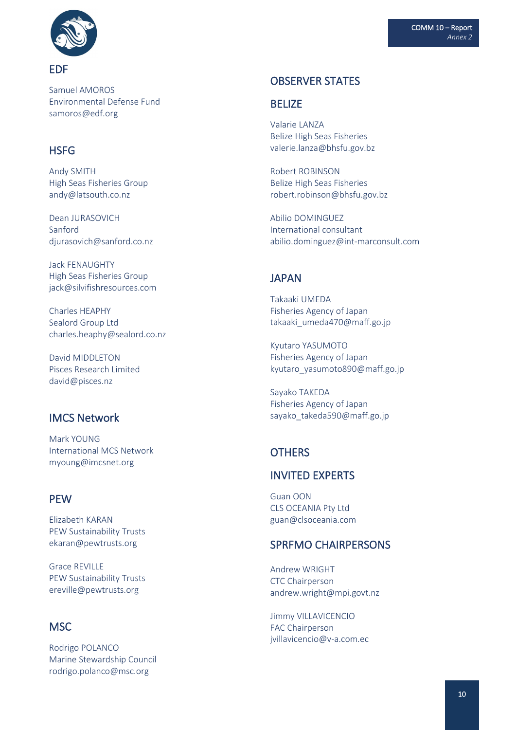

Samuel AMOROS Environmental Defense Fund samoros@edf.org

# **HSFG**

Andy SMITH High Seas Fisheries Group andy@latsouth.co.nz

Dean JURASOVICH Sanford [djurasovich@sanford.co.nz](mailto:djurasovich@sanford.co.nz)

Jack FENAUGHTY High Seas Fisheries Group jack@silvifishresources.com

Charles HEAPHY Sealord Group Ltd [charles.heaphy@sealord.co.nz](mailto:djurasovich@sanford.co.nz)

David MIDDLETON Pisces Research Limited david@pisces.nz

## IMCS Network

Mark YOUNG International MCS Network myoung@imcsnet.org

#### **PFW**

Elizabeth KARAN PEW Sustainability Trusts ekaran@pewtrusts.org

Grace REVILLE PEW Sustainability Trusts ereville@pewtrusts.org

## MSC

Rodrigo POLANCO Marine Stewardship Council rodrigo.polanco@msc.org

#### OBSERVER STATES

#### BELIZE

Valarie LANZA Belize High Seas Fisheries valerie.lanza@bhsfu.gov.bz

Robert ROBINSON Belize High Seas Fisheries robert.robinson@bhsfu.gov.bz

Abilio DOMINGUEZ International consultant abilio.dominguez@int-marconsult.com

#### **JAPAN**

Takaaki UMEDA Fisheries Agency of Japan takaaki umeda470@maff.go.jp

Kyutaro YASUMOTO Fisheries Agency of Japan kyutaro\_yasumoto890@maff.go.jp

Sayako TAKEDA Fisheries Agency of Japan sayako\_takeda590@maff.go.jp

# **OTHERS**

# INVITED EXPERTS

Guan OON CLS OCEANIA Pty Ltd guan@clsoceania.com

#### SPRFMO CHAIRPERSONS

Andrew WRIGHT CTC Chairperson andrew.wright@mpi.govt.nz

Jimmy VILLAVICENCIO FAC Chairperson jvillavicencio@v-a.com.ec